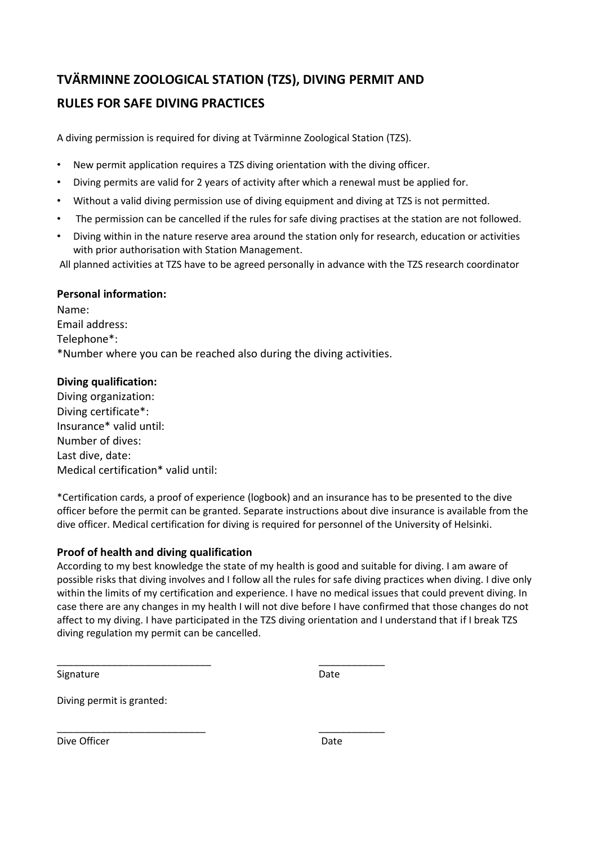# **TVÄRMINNE ZOOLOGICAL STATION (TZS), DIVING PERMIT AND RULES FOR SAFE DIVING PRACTICES**

A diving permission is required for diving at Tvärminne Zoological Station (TZS).

- New permit application requires a TZS diving orientation with the diving officer.
- Diving permits are valid for 2 years of activity after which a renewal must be applied for.
- Without a valid diving permission use of diving equipment and diving at TZS is not permitted.
- The permission can be cancelled if the rules for safe diving practises at the station are not followed.
- Diving within in the nature reserve area around the station only for research, education or activities with prior authorisation with Station Management.

All planned activities at TZS have to be agreed personally in advance with the TZS research coordinator

#### **Personal information:**

Name: Email address: Telephone\*: \*Number where you can be reached also during the diving activities.

\_\_\_\_\_\_\_\_\_\_\_\_\_\_\_\_\_\_\_\_\_\_\_\_\_\_\_\_ \_\_\_\_\_\_\_\_\_\_\_\_

\_\_\_\_\_\_\_\_\_\_\_\_\_\_\_\_\_\_\_\_\_\_\_\_\_\_\_ \_\_\_\_\_\_\_\_\_\_\_\_

#### **Diving qualification:**

Diving organization: Diving certificate\*: Insurance\* valid until: Number of dives: Last dive, date: Medical certification\* valid until:

\*Certification cards, a proof of experience (logbook) and an insurance has to be presented to the dive officer before the permit can be granted. Separate instructions about dive insurance is available from the dive officer. Medical certification for diving is required for personnel of the University of Helsinki.

#### **Proof of health and diving qualification**

According to my best knowledge the state of my health is good and suitable for diving. I am aware of possible risks that diving involves and I follow all the rules for safe diving practices when diving. I dive only within the limits of my certification and experience. I have no medical issues that could prevent diving. In case there are any changes in my health I will not dive before I have confirmed that those changes do not affect to my diving. I have participated in the TZS diving orientation and I understand that if I break TZS diving regulation my permit can be cancelled.

Signature Date Date Date

Diving permit is granted:

Dive Officer **Date**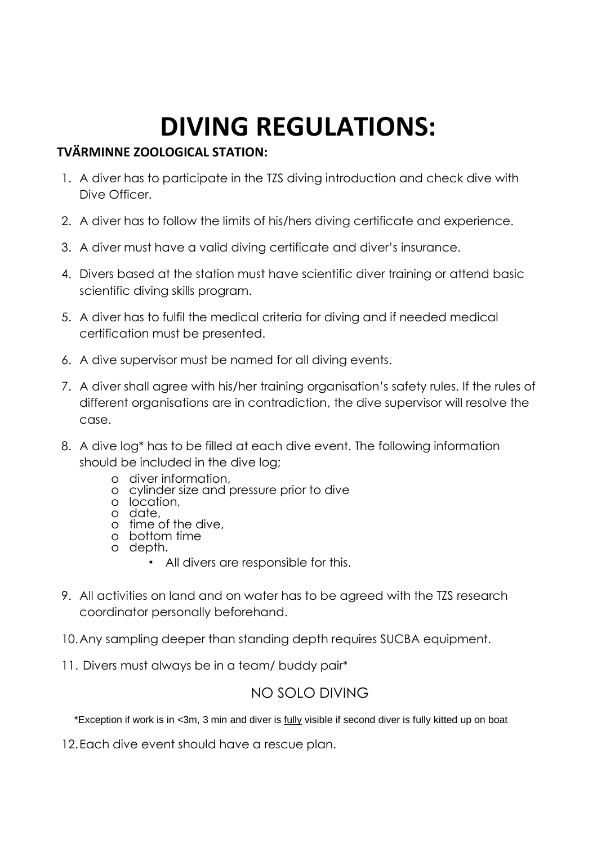# **DIVING REGULATIONS:**

### **TVÄRMINNE ZOOLOGICAL STATION:**

- 1. A diver has to participate in the TZS diving introduction and check dive with Dive Officer.
- 2. A diver has to follow the limits of his/hers diving certificate and experience.
- 3. A diver must have a valid diving certificate and diver's insurance.
- 4. Divers based at the station must have scientific diver training or attend basic scientific diving skills program.
- 5. A diver has to fulfil the medical criteria for diving and if needed medical certification must be presented.
- 6. A dive supervisor must be named for all diving events.
- 7. A diver shall agree with his/her training organisation's safety rules. If the rules of different organisations are in contradiction, the dive supervisor will resolve the case.
- 8. A dive log\* has to be filled at each dive event. The following information should be included in the dive log;
	- o diver information,
	- o cylinder size and pressure prior to dive
	- o location,
	- o date, o time of the dive,
	- o bottom time
	- o depth.
		- All divers are responsible for this.
- 9. All activities on land and on water has to be agreed with the TZS research coordinator personally beforehand.
- 10.Any sampling deeper than standing depth requires SUCBA equipment.
- 11. Divers must always be in a team/ buddy pair\*

## NO SOLO DIVING

\*Exception if work is in <3m, 3 min and diver is fully visible if second diver is fully kitted up on boat

12.Each dive event should have a rescue plan.